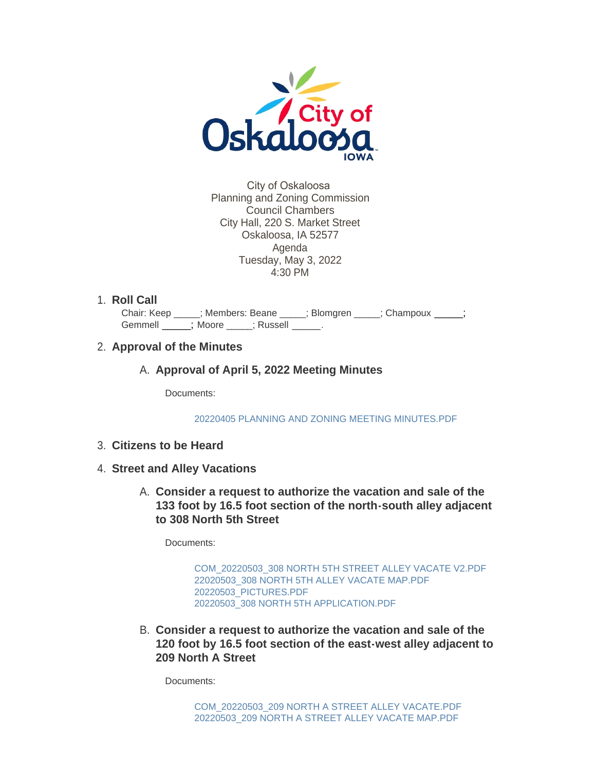

City of Oskaloosa Planning and Zoning Commission Council Chambers City Hall, 220 S. Market Street Oskaloosa, IA 52577 Agenda Tuesday, May 3, 2022 4:30 PM

1. Roll Call

Chair: Keep \_\_\_\_; Members: Beane \_\_\_\_; Blomgren \_\_\_\_; Champoux \_\_\_\_; Gemmell \_\_\_\_\_\_; Moore \_\_\_\_\_; Russell \_\_\_\_\_.

## **Approval of the Minutes** 2.

A. Approval of April 5, 2022 Meeting Minutes

Documents:

[20220405 PLANNING AND ZONING MEETING MINUTES.PDF](https://www.oskaloosaiowa.org/AgendaCenter/ViewFile/Item/10127?fileID=26559)

- **Citizens to be Heard** 3.
- **Street and Alley Vacations** 4.
	- **Consider a request to authorize the vacation and sale of the**  A. **133 foot by 16.5 foot section of the north-south alley adjacent to 308 North 5th Street**

Documents:

[COM\\_20220503\\_308 NORTH 5TH STREET ALLEY VACATE V2.PDF](https://www.oskaloosaiowa.org/AgendaCenter/ViewFile/Item/10104?fileID=26609) [22020503\\_308 NORTH 5TH ALLEY VACATE MAP.PDF](https://www.oskaloosaiowa.org/AgendaCenter/ViewFile/Item/10104?fileID=26608) [20220503\\_PICTURES.PDF](https://www.oskaloosaiowa.org/AgendaCenter/ViewFile/Item/10104?fileID=26607) [20220503\\_308 NORTH 5TH APPLICATION.PDF](https://www.oskaloosaiowa.org/AgendaCenter/ViewFile/Item/10104?fileID=26606)

**Consider a request to authorize the vacation and sale of the**  B. **120 foot by 16.5 foot section of the east-west alley adjacent to 209 North A Street**

Documents: